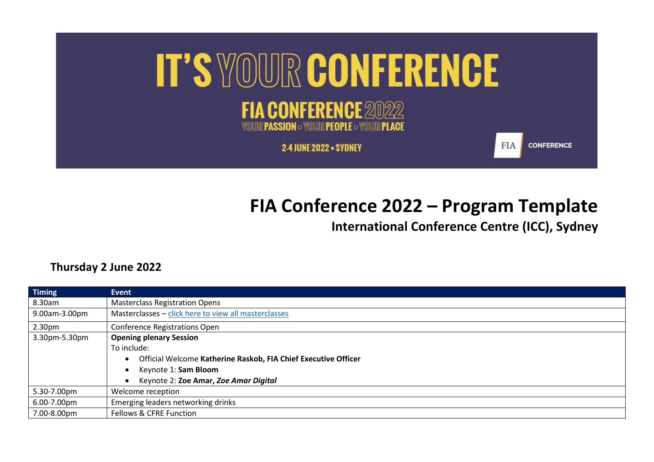

## **FIA Conference 2022 – Program Template**

**International Conference Centre (ICC), Sydney**

## **Thursday 2 June 2022**

| <b>Timing</b>      | Event                                                                                                           |
|--------------------|-----------------------------------------------------------------------------------------------------------------|
| 8.30am             | <b>Masterclass Registration Opens</b>                                                                           |
| 9.00am-3.00pm      | Masterclasses - click here to view all masterclasses                                                            |
| 2.30 <sub>pm</sub> | <b>Conference Registrations Open</b>                                                                            |
| 3.30pm-5.30pm      | <b>Opening plenary Session</b><br>To include:<br>Official Welcome Katherine Raskob, FIA Chief Executive Officer |
|                    | Keynote 1: Sam Bloom<br>Keynote 2: Zoe Amar, Zoe Amar Digital                                                   |
| 5.30-7.00pm        | Welcome reception                                                                                               |
| 6.00-7.00pm        | Emerging leaders networking drinks                                                                              |
| 7.00-8.00pm        | Fellows & CFRE Function                                                                                         |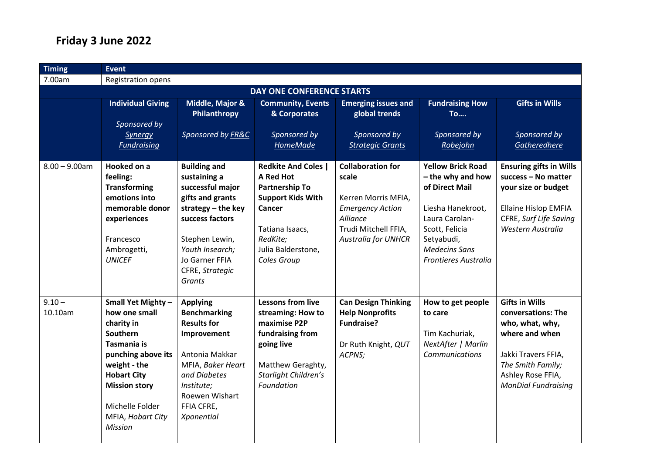## **Friday 3 June 2022**

| <b>Timing</b>                    | <b>Event</b>                                                                                                                                                                                                                      |                                                                                                                                                                                                            |                                                                                                                                                                            |                                                                                                                                                       |                                                                                                                                                                                               |                                                                                                                                                                                 |  |  |
|----------------------------------|-----------------------------------------------------------------------------------------------------------------------------------------------------------------------------------------------------------------------------------|------------------------------------------------------------------------------------------------------------------------------------------------------------------------------------------------------------|----------------------------------------------------------------------------------------------------------------------------------------------------------------------------|-------------------------------------------------------------------------------------------------------------------------------------------------------|-----------------------------------------------------------------------------------------------------------------------------------------------------------------------------------------------|---------------------------------------------------------------------------------------------------------------------------------------------------------------------------------|--|--|
| 7.00am                           | <b>Registration opens</b>                                                                                                                                                                                                         |                                                                                                                                                                                                            |                                                                                                                                                                            |                                                                                                                                                       |                                                                                                                                                                                               |                                                                                                                                                                                 |  |  |
| <b>DAY ONE CONFERENCE STARTS</b> |                                                                                                                                                                                                                                   |                                                                                                                                                                                                            |                                                                                                                                                                            |                                                                                                                                                       |                                                                                                                                                                                               |                                                                                                                                                                                 |  |  |
|                                  | <b>Individual Giving</b><br>Sponsored by<br><b>Synergy</b><br><b>Fundraising</b>                                                                                                                                                  | Middle, Major &<br>Philanthropy<br>Sponsored by FR&C                                                                                                                                                       | <b>Community, Events</b><br>& Corporates<br>Sponsored by<br>HomeMade                                                                                                       | <b>Emerging issues and</b><br>global trends<br>Sponsored by<br><b>Strategic Grants</b>                                                                | <b>Fundraising How</b><br>To<br>Sponsored by<br>Robejohn                                                                                                                                      | <b>Gifts in Wills</b><br>Sponsored by<br>Gatheredhere                                                                                                                           |  |  |
| $8.00 - 9.00$ am                 | Hooked on a<br>feeling:<br><b>Transforming</b><br>emotions into<br>memorable donor<br>experiences<br>Francesco<br>Ambrogetti,<br><b>UNICEF</b>                                                                                    | <b>Building and</b><br>sustaining a<br>successful major<br>gifts and grants<br>strategy $-$ the key<br>success factors<br>Stephen Lewin,<br>Youth Insearch;<br>Jo Garner FFIA<br>CFRE, Strategic<br>Grants | <b>Redkite And Coles  </b><br>A Red Hot<br><b>Partnership To</b><br><b>Support Kids With</b><br>Cancer<br>Tatiana Isaacs,<br>RedKite;<br>Julia Balderstone,<br>Coles Group | <b>Collaboration for</b><br>scale<br>Kerren Morris MFIA,<br><b>Emergency Action</b><br>Alliance<br>Trudi Mitchell FFIA,<br><b>Australia for UNHCR</b> | <b>Yellow Brick Road</b><br>- the why and how<br>of Direct Mail<br>Liesha Hanekroot,<br>Laura Carolan-<br>Scott, Felicia<br>Setyabudi,<br><b>Medecins Sans</b><br><b>Frontieres Australia</b> | <b>Ensuring gifts in Wills</b><br>success - No matter<br>your size or budget<br><b>Ellaine Hislop EMFIA</b><br>CFRE, Surf Life Saving<br>Western Australia                      |  |  |
| $9.10 -$<br>10.10am              | Small Yet Mighty -<br>how one small<br>charity in<br><b>Southern</b><br>Tasmania is<br>punching above its<br>weight - the<br><b>Hobart City</b><br><b>Mission story</b><br>Michelle Folder<br>MFIA, Hobart City<br><b>Mission</b> | <b>Applying</b><br><b>Benchmarking</b><br><b>Results for</b><br>Improvement<br>Antonia Makkar<br>MFIA, Baker Heart<br>and Diabetes<br>Institute;<br>Roewen Wishart<br>FFIA CFRE,<br>Xponential             | <b>Lessons from live</b><br>streaming: How to<br>maximise P2P<br>fundraising from<br>going live<br>Matthew Geraghty,<br>Starlight Children's<br>Foundation                 | <b>Can Design Thinking</b><br><b>Help Nonprofits</b><br><b>Fundraise?</b><br>Dr Ruth Knight, QUT<br>ACPNS;                                            | How to get people<br>to care<br>Tim Kachuriak,<br>NextAfter   Marlin<br>Communications                                                                                                        | <b>Gifts in Wills</b><br>conversations: The<br>who, what, why,<br>where and when<br>Jakki Travers FFIA,<br>The Smith Family;<br>Ashley Rose FFIA,<br><b>MonDial Fundraising</b> |  |  |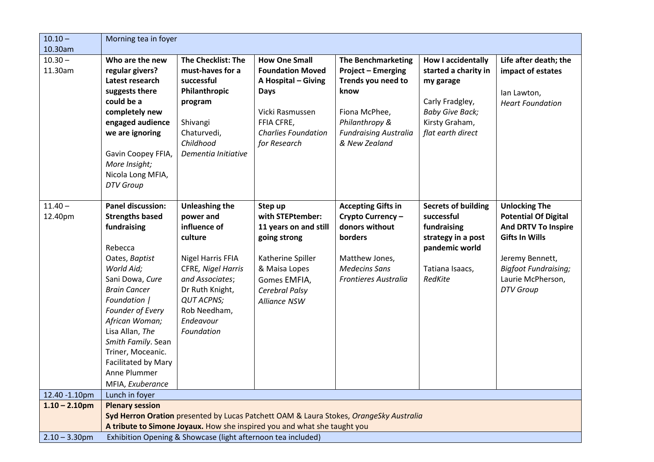| $10.10 -$                                                                        | Morning tea in foyer                                                                                                                                                                                                                                                                                                                  |                                                                                                                                                                                                                |                                                                                                                                                                      |                                                                                                                                                                          |                                                                                                                                                    |                                                                                                                                                                                                       |
|----------------------------------------------------------------------------------|---------------------------------------------------------------------------------------------------------------------------------------------------------------------------------------------------------------------------------------------------------------------------------------------------------------------------------------|----------------------------------------------------------------------------------------------------------------------------------------------------------------------------------------------------------------|----------------------------------------------------------------------------------------------------------------------------------------------------------------------|--------------------------------------------------------------------------------------------------------------------------------------------------------------------------|----------------------------------------------------------------------------------------------------------------------------------------------------|-------------------------------------------------------------------------------------------------------------------------------------------------------------------------------------------------------|
| 10.30am                                                                          |                                                                                                                                                                                                                                                                                                                                       |                                                                                                                                                                                                                |                                                                                                                                                                      |                                                                                                                                                                          |                                                                                                                                                    |                                                                                                                                                                                                       |
| $10.30 -$<br>11.30am                                                             | Who are the new<br>regular givers?<br>Latest research<br>suggests there<br>could be a<br>completely new<br>engaged audience<br>we are ignoring<br>Gavin Coopey FFIA,<br>More Insight;<br>Nicola Long MFIA,<br><b>DTV</b> Group                                                                                                        | <b>The Checklist: The</b><br>must-haves for a<br>successful<br>Philanthropic<br>program<br>Shivangi<br>Chaturvedi,<br>Childhood<br>Dementia Initiative                                                         | <b>How One Small</b><br><b>Foundation Moved</b><br>A Hospital - Giving<br><b>Days</b><br>Vicki Rasmussen<br>FFIA CFRE,<br><b>Charlies Foundation</b><br>for Research | <b>The Benchmarketing</b><br><b>Project - Emerging</b><br>Trends you need to<br>know<br>Fiona McPhee,<br>Philanthropy &<br><b>Fundraising Australia</b><br>& New Zealand | <b>How I accidentally</b><br>started a charity in<br>my garage<br>Carly Fradgley,<br><b>Baby Give Back;</b><br>Kirsty Graham,<br>flat earth direct | Life after death; the<br>impact of estates<br>lan Lawton,<br><b>Heart Foundation</b>                                                                                                                  |
| $11.40 -$<br>12.40pm                                                             | <b>Panel discussion:</b><br><b>Strengths based</b><br>fundraising<br>Rebecca<br>Oates, Baptist<br>World Aid;<br>Sani Dowa, Cure<br><b>Brain Cancer</b><br>Foundation  <br>Founder of Every<br>African Woman;<br>Lisa Allan, The<br>Smith Family. Sean<br>Triner, Moceanic.<br>Facilitated by Mary<br>Anne Plummer<br>MFIA, Exuberance | <b>Unleashing the</b><br>power and<br>influence of<br>culture<br>Nigel Harris FFIA<br>CFRE, Nigel Harris<br>and Associates;<br>Dr Ruth Knight,<br><b>QUT ACPNS;</b><br>Rob Needham,<br>Endeavour<br>Foundation | Step up<br>with STEPtember:<br>11 years on and still<br>going strong<br>Katherine Spiller<br>& Maisa Lopes<br>Gomes EMFIA,<br>Cerebral Palsy<br>Alliance NSW         | <b>Accepting Gifts in</b><br>Crypto Currency-<br>donors without<br>borders<br>Matthew Jones,<br><b>Medecins Sans</b><br><b>Frontieres Australia</b>                      | <b>Secrets of building</b><br>successful<br>fundraising<br>strategy in a post<br>pandemic world<br>Tatiana Isaacs,<br>RedKite                      | <b>Unlocking The</b><br><b>Potential Of Digital</b><br><b>And DRTV To Inspire</b><br><b>Gifts In Wills</b><br>Jeremy Bennett,<br><b>Bigfoot Fundraising;</b><br>Laurie McPherson,<br><b>DTV</b> Group |
| 12.40 -1.10pm                                                                    | Lunch in foyer                                                                                                                                                                                                                                                                                                                        |                                                                                                                                                                                                                |                                                                                                                                                                      |                                                                                                                                                                          |                                                                                                                                                    |                                                                                                                                                                                                       |
| $1.10 - 2.10$ pm                                                                 | <b>Plenary session</b>                                                                                                                                                                                                                                                                                                                |                                                                                                                                                                                                                |                                                                                                                                                                      |                                                                                                                                                                          |                                                                                                                                                    |                                                                                                                                                                                                       |
|                                                                                  |                                                                                                                                                                                                                                                                                                                                       |                                                                                                                                                                                                                |                                                                                                                                                                      | Syd Herron Oration presented by Lucas Patchett OAM & Laura Stokes, OrangeSky Australia                                                                                   |                                                                                                                                                    |                                                                                                                                                                                                       |
|                                                                                  | A tribute to Simone Joyaux. How she inspired you and what she taught you                                                                                                                                                                                                                                                              |                                                                                                                                                                                                                |                                                                                                                                                                      |                                                                                                                                                                          |                                                                                                                                                    |                                                                                                                                                                                                       |
| Exhibition Opening & Showcase (light afternoon tea included)<br>$2.10 - 3.30$ pm |                                                                                                                                                                                                                                                                                                                                       |                                                                                                                                                                                                                |                                                                                                                                                                      |                                                                                                                                                                          |                                                                                                                                                    |                                                                                                                                                                                                       |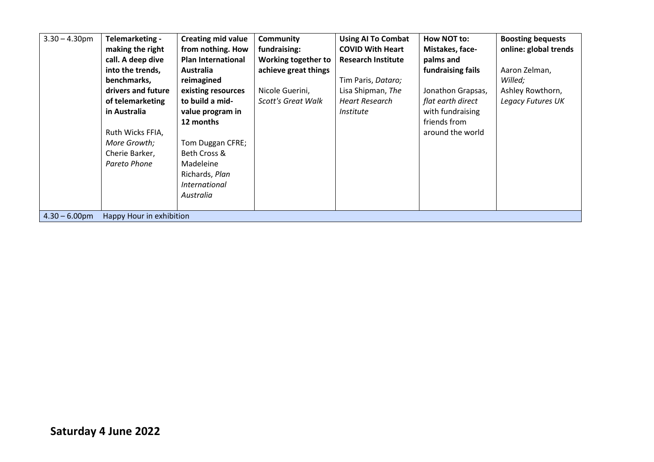| $3.30 - 4.30$ pm | Telemarketing -<br>making the right<br>call. A deep dive<br>into the trends,<br>benchmarks,<br>drivers and future<br>of telemarketing<br>in Australia<br>Ruth Wicks FFIA,<br>More Growth;<br>Cherie Barker,<br>Pareto Phone | <b>Creating mid value</b><br>from nothing. How<br><b>Plan International</b><br><b>Australia</b><br>reimagined<br>existing resources<br>to build a mid-<br>value program in<br>12 months<br>Tom Duggan CFRE;<br>Beth Cross &<br>Madeleine<br>Richards, Plan<br><i>International</i><br>Australia | <b>Community</b><br>fundraising:<br>Working together to<br>achieve great things<br>Nicole Guerini,<br><b>Scott's Great Walk</b> | <b>Using AI To Combat</b><br><b>COVID With Heart</b><br><b>Research Institute</b><br>Tim Paris, Dataro;<br>Lisa Shipman, The<br>Heart Research<br><i>Institute</i> | How NOT to:<br>Mistakes, face-<br>palms and<br>fundraising fails<br>Jonathon Grapsas,<br>flat earth direct<br>with fundraising<br>friends from<br>around the world | <b>Boosting bequests</b><br>online: global trends<br>Aaron Zelman,<br>Willed;<br>Ashley Rowthorn,<br>Legacy Futures UK |
|------------------|-----------------------------------------------------------------------------------------------------------------------------------------------------------------------------------------------------------------------------|-------------------------------------------------------------------------------------------------------------------------------------------------------------------------------------------------------------------------------------------------------------------------------------------------|---------------------------------------------------------------------------------------------------------------------------------|--------------------------------------------------------------------------------------------------------------------------------------------------------------------|--------------------------------------------------------------------------------------------------------------------------------------------------------------------|------------------------------------------------------------------------------------------------------------------------|
| $4.30 - 6.00$ pm | Happy Hour in exhibition                                                                                                                                                                                                    |                                                                                                                                                                                                                                                                                                 |                                                                                                                                 |                                                                                                                                                                    |                                                                                                                                                                    |                                                                                                                        |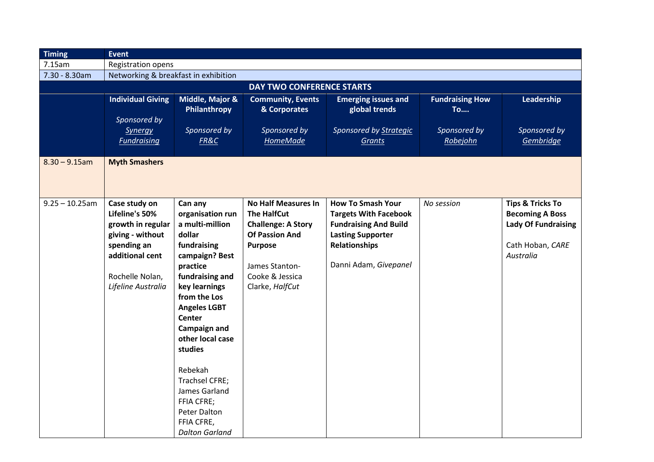| <b>Timing</b>             | <b>Event</b>                                                                                                                                        |                                                                                                                                                                                                                                                                                                                                                                     |                                                                                                                                                                                  |                                                                                                                                                                       |                                                     |                                                                                                                      |  |  |
|---------------------------|-----------------------------------------------------------------------------------------------------------------------------------------------------|---------------------------------------------------------------------------------------------------------------------------------------------------------------------------------------------------------------------------------------------------------------------------------------------------------------------------------------------------------------------|----------------------------------------------------------------------------------------------------------------------------------------------------------------------------------|-----------------------------------------------------------------------------------------------------------------------------------------------------------------------|-----------------------------------------------------|----------------------------------------------------------------------------------------------------------------------|--|--|
| 7.15am                    | <b>Registration opens</b>                                                                                                                           |                                                                                                                                                                                                                                                                                                                                                                     |                                                                                                                                                                                  |                                                                                                                                                                       |                                                     |                                                                                                                      |  |  |
| 7.30 - 8.30am             | Networking & breakfast in exhibition                                                                                                                |                                                                                                                                                                                                                                                                                                                                                                     |                                                                                                                                                                                  |                                                                                                                                                                       |                                                     |                                                                                                                      |  |  |
| DAY TWO CONFERENCE STARTS |                                                                                                                                                     |                                                                                                                                                                                                                                                                                                                                                                     |                                                                                                                                                                                  |                                                                                                                                                                       |                                                     |                                                                                                                      |  |  |
|                           | <b>Individual Giving</b><br>Sponsored by<br><b>Synergy</b>                                                                                          | Middle, Major &<br>Philanthropy<br>Sponsored by                                                                                                                                                                                                                                                                                                                     | <b>Community, Events</b><br>& Corporates<br>Sponsored by                                                                                                                         | <b>Emerging issues and</b><br>global trends<br>Sponsored by <b>Strategic</b>                                                                                          | <b>Fundraising How</b><br><b>To</b><br>Sponsored by | Leadership<br>Sponsored by                                                                                           |  |  |
|                           | <b>Fundraising</b>                                                                                                                                  | FR&C                                                                                                                                                                                                                                                                                                                                                                | <b>HomeMade</b>                                                                                                                                                                  | Grants                                                                                                                                                                | Robejohn                                            | Gembridge                                                                                                            |  |  |
| $8.30 - 9.15$ am          | <b>Myth Smashers</b>                                                                                                                                |                                                                                                                                                                                                                                                                                                                                                                     |                                                                                                                                                                                  |                                                                                                                                                                       |                                                     |                                                                                                                      |  |  |
| $9.25 - 10.25$ am         | Case study on<br>Lifeline's 50%<br>growth in regular<br>giving - without<br>spending an<br>additional cent<br>Rochelle Nolan,<br>Lifeline Australia | Can any<br>organisation run<br>a multi-million<br>dollar<br>fundraising<br>campaign? Best<br>practice<br>fundraising and<br>key learnings<br>from the Los<br><b>Angeles LGBT</b><br>Center<br><b>Campaign and</b><br>other local case<br>studies<br>Rebekah<br>Trachsel CFRE;<br>James Garland<br>FFIA CFRE;<br>Peter Dalton<br>FFIA CFRE,<br><b>Dalton Garland</b> | <b>No Half Measures In</b><br><b>The HalfCut</b><br><b>Challenge: A Story</b><br><b>Of Passion And</b><br><b>Purpose</b><br>James Stanton-<br>Cooke & Jessica<br>Clarke, HalfCut | <b>How To Smash Your</b><br><b>Targets With Facebook</b><br><b>Fundraising And Build</b><br><b>Lasting Supporter</b><br><b>Relationships</b><br>Danni Adam, Givepanel | No session                                          | <b>Tips &amp; Tricks To</b><br><b>Becoming A Boss</b><br><b>Lady Of Fundraising</b><br>Cath Hoban, CARE<br>Australia |  |  |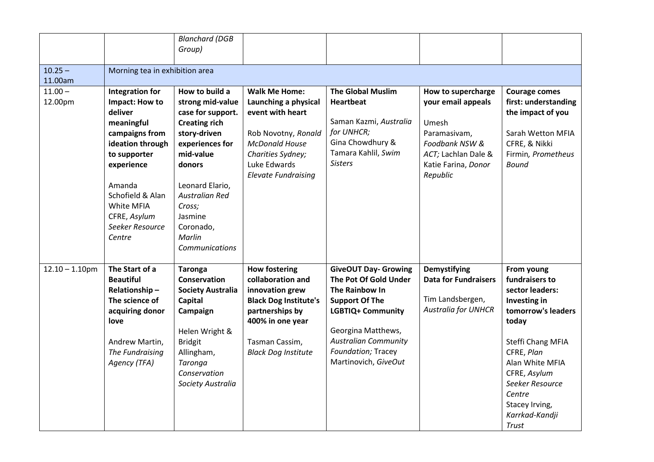|                   |                                | <b>Blanchard (DGB</b>    |                              |                             |                             |                      |
|-------------------|--------------------------------|--------------------------|------------------------------|-----------------------------|-----------------------------|----------------------|
|                   |                                | Group)                   |                              |                             |                             |                      |
|                   |                                |                          |                              |                             |                             |                      |
| $10.25 -$         | Morning tea in exhibition area |                          |                              |                             |                             |                      |
| 11.00am           |                                |                          |                              |                             |                             |                      |
| $11.00 -$         | <b>Integration for</b>         | How to build a           | <b>Walk Me Home:</b>         | <b>The Global Muslim</b>    | How to supercharge          | <b>Courage comes</b> |
| 12.00pm           | Impact: How to                 | strong mid-value         | Launching a physical         | <b>Heartbeat</b>            | your email appeals          | first: understanding |
|                   | deliver                        | case for support.        | event with heart             |                             |                             | the impact of you    |
|                   | meaningful                     | <b>Creating rich</b>     |                              | Saman Kazmi, Australia      | Umesh                       |                      |
|                   | campaigns from                 | story-driven             | Rob Novotny, Ronald          | for UNHCR;                  | Paramasivam,                | Sarah Wetton MFIA    |
|                   | ideation through               | experiences for          | <b>McDonald House</b>        | Gina Chowdhury &            | Foodbank NSW &              | CFRE, & Nikki        |
|                   | to supporter                   | mid-value                | Charities Sydney;            | Tamara Kahlil, Swim         | ACT; Lachlan Dale &         | Firmin, Prometheus   |
|                   | experience                     | donors                   | Luke Edwards                 | <b>Sisters</b>              | Katie Farina, Donor         | <b>Bound</b>         |
|                   |                                |                          | <b>Elevate Fundraising</b>   |                             | Republic                    |                      |
|                   | Amanda                         | Leonard Elario,          |                              |                             |                             |                      |
|                   | Schofield & Alan               | <b>Australian Red</b>    |                              |                             |                             |                      |
|                   | White MFIA                     | Cross;                   |                              |                             |                             |                      |
|                   | CFRE, Asylum                   | Jasmine                  |                              |                             |                             |                      |
|                   | Seeker Resource                | Coronado,                |                              |                             |                             |                      |
|                   | Centre                         | Marlin                   |                              |                             |                             |                      |
|                   |                                | Communications           |                              |                             |                             |                      |
|                   |                                |                          |                              |                             |                             |                      |
| $12.10 - 1.10$ pm | The Start of a                 | <b>Taronga</b>           | <b>How fostering</b>         | <b>GiveOUT Day- Growing</b> | <b>Demystifying</b>         | From young           |
|                   | <b>Beautiful</b>               | <b>Conservation</b>      | collaboration and            | The Pot Of Gold Under       | <b>Data for Fundraisers</b> | fundraisers to       |
|                   | Relationship-                  | <b>Society Australia</b> | innovation grew              | The Rainbow In              |                             | sector leaders:      |
|                   | The science of                 | Capital                  | <b>Black Dog Institute's</b> | <b>Support Of The</b>       | Tim Landsbergen,            | Investing in         |
|                   | acquiring donor                | Campaign                 | partnerships by              | <b>LGBTIQ+ Community</b>    | <b>Australia for UNHCR</b>  | tomorrow's leaders   |
|                   | love                           |                          | 400% in one year             |                             |                             | today                |
|                   |                                | Helen Wright &           |                              | Georgina Matthews,          |                             |                      |
|                   | Andrew Martin,                 | <b>Bridgit</b>           | Tasman Cassim,               | <b>Australian Community</b> |                             | Steffi Chang MFIA    |
|                   | The Fundraising                | Allingham,               | <b>Black Dog Institute</b>   | Foundation; Tracey          |                             | CFRE, Plan           |
|                   | Agency (TFA)                   | Taronga                  |                              | Martinovich, GiveOut        |                             | Alan White MFIA      |
|                   |                                | Conservation             |                              |                             |                             | CFRE, Asylum         |
|                   |                                | Society Australia        |                              |                             |                             | Seeker Resource      |
|                   |                                |                          |                              |                             |                             | Centre               |
|                   |                                |                          |                              |                             |                             | Stacey Irving,       |
|                   |                                |                          |                              |                             |                             | Karrkad-Kandji       |
|                   |                                |                          |                              |                             |                             | Trust                |